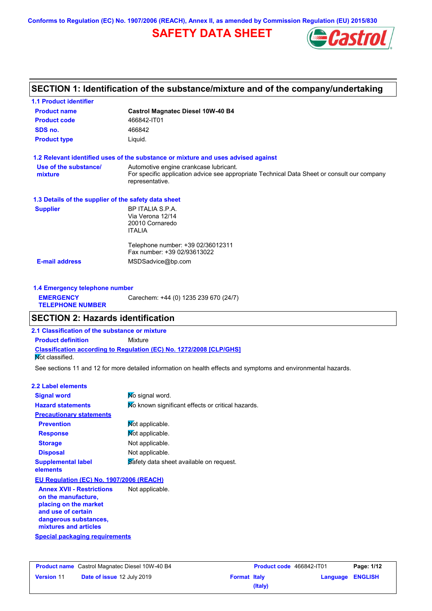**Conforms to Regulation (EC) No. 1907/2006 (REACH), Annex II, as amended by Commission Regulation (EU) 2015/830**

# **SAFETY DATA SHEET**



# **SECTION 1: Identification of the substance/mixture and of the company/undertaking**

| <b>1.1 Product identifier</b><br><b>Product name</b> | <b>Castrol Magnatec Diesel 10W-40 B4</b>                                                                                                                 |
|------------------------------------------------------|----------------------------------------------------------------------------------------------------------------------------------------------------------|
| <b>Product code</b>                                  | 466842-IT01                                                                                                                                              |
| SDS no.                                              | 466842                                                                                                                                                   |
| <b>Product type</b>                                  | Liquid.                                                                                                                                                  |
|                                                      | 1.2 Relevant identified uses of the substance or mixture and uses advised against                                                                        |
| Use of the substance/<br>mixture                     | Automotive engine crankcase lubricant.<br>For specific application advice see appropriate Technical Data Sheet or consult our company<br>representative. |
| 1.3 Details of the supplier of the safety data sheet |                                                                                                                                                          |
| <b>Supplier</b>                                      | BP ITALIA S.P.A.<br>Via Verona 12/14<br>20010 Cornaredo<br><b>ITALIA</b>                                                                                 |
|                                                      | Telephone number: +39 02/36012311<br>Fax number: +39 02/93613022                                                                                         |
| <b>E-mail address</b>                                | MSDSadvice@bp.com                                                                                                                                        |

| 1.4 Emergency telephone number              |                                       |
|---------------------------------------------|---------------------------------------|
| <b>EMERGENCY</b><br><b>TELEPHONE NUMBER</b> | Carechem: +44 (0) 1235 239 670 (24/7) |

# **SECTION 2: Hazards identification**

**2.1 Classification of the substance or mixture Product definition** Mixture

**Classification according to Regulation (EC) No. 1272/2008 [CLP/GHS]**

**Not classified.** 

See sections 11 and 12 for more detailed information on health effects and symptoms and environmental hazards.

| 2.2 Label elements                               |                                                   |
|--------------------------------------------------|---------------------------------------------------|
| <b>Signal word</b>                               | No signal word.                                   |
| <b>Hazard statements</b>                         | No known significant effects or critical hazards. |
| <b>Precautionary statements</b>                  |                                                   |
| <b>Prevention</b>                                | Not applicable.                                   |
| <b>Response</b>                                  | Not applicable.                                   |
| <b>Storage</b>                                   | Not applicable.                                   |
| <b>Disposal</b>                                  | Not applicable.                                   |
| <b>Supplemental label</b><br>elements            | Safety data sheet available on request.           |
| EU Regulation (EC) No. 1907/2006 (REACH)         |                                                   |
| Amman VVIII Property of the Motor Motor Standard |                                                   |

**Annex XVII - Restrictions on the manufacture, placing on the market and use of certain dangerous substances, mixtures and articles** Not applicable.

**Special packaging requirements**

|                   | <b>Product name</b> Castrol Magnatec Diesel 10W-40 B4 |
|-------------------|-------------------------------------------------------|
| <b>Version 11</b> | Date of issue 12 July 2019                            |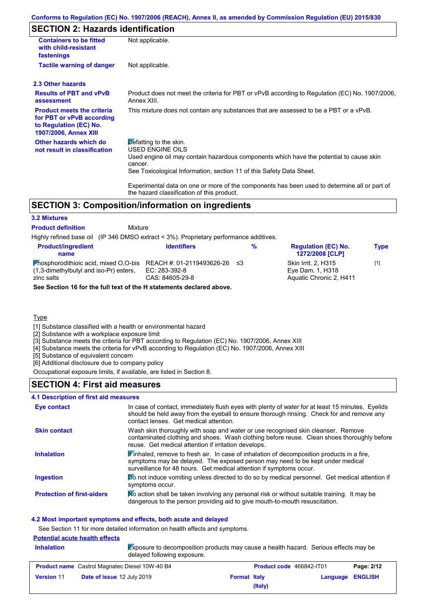# **SECTION 2: Hazards identification**

| <b>Containers to be fitted</b><br>with child-resistant<br>fastenings                                                     | Not applicable.                                                                                                                                                                                                                                 |
|--------------------------------------------------------------------------------------------------------------------------|-------------------------------------------------------------------------------------------------------------------------------------------------------------------------------------------------------------------------------------------------|
| <b>Tactile warning of danger</b>                                                                                         | Not applicable.                                                                                                                                                                                                                                 |
| 2.3 Other hazards                                                                                                        |                                                                                                                                                                                                                                                 |
| <b>Results of PBT and vPvB</b><br>assessment                                                                             | Product does not meet the criteria for PBT or vPvB according to Regulation (EC) No. 1907/2006,<br>Annex XIII.                                                                                                                                   |
| <b>Product meets the criteria</b><br>for PBT or vPvB according<br>to Regulation (EC) No.<br><b>1907/2006, Annex XIII</b> | This mixture does not contain any substances that are assessed to be a PBT or a vPvB.                                                                                                                                                           |
| Other hazards which do<br>not result in classification                                                                   | $\triangleright$ efatting to the skin.<br><b>USED ENGINE OILS</b><br>Used engine oil may contain hazardous components which have the potential to cause skin<br>cancer.<br>See Toxicological Information, section 11 of this Safety Data Sheet. |
|                                                                                                                          | Experimental data on one or more of the components has been used to determine all or part of<br>the hazard classification of this product.                                                                                                      |

## **SECTION 3: Composition/information on ingredients**

#### **3.2 Mixtures**

**Product definition**

Mixture

Highly refined base oil (IP 346 DMSO extract < 3%). Proprietary performance additives.

| <b>Product/ingredient</b><br>name                                                                    | <b>Identifiers</b>                                               | ℅ | <b>Regulation (EC) No.</b><br><b>1272/2008 [CLP]</b>                      | <b>Type</b> |
|------------------------------------------------------------------------------------------------------|------------------------------------------------------------------|---|---------------------------------------------------------------------------|-------------|
| <b>Phosphorodithiold acid, mixed O.O-bis</b><br>(1,3-dimethylbutyl and iso-Pr) esters,<br>zinc salts | REACH #: 01-2119493626-26 ≤3<br>EC: 283-392-8<br>CAS: 84605-29-8 |   | <b>Skin Irrit. 2. H315</b><br>Eye Dam. 1, H318<br>Aquatic Chronic 2. H411 | [1]         |
| See Section 16 for the full text of the H statements declared above.                                 |                                                                  |   |                                                                           |             |

#### **Type**

[1] Substance classified with a health or environmental hazard

[2] Substance with a workplace exposure limit

[3] Substance meets the criteria for PBT according to Regulation (EC) No. 1907/2006, Annex XIII

[4] Substance meets the criteria for vPvB according to Regulation (EC) No. 1907/2006, Annex XIII

[5] Substance of equivalent concern

[6] Additional disclosure due to company policy

Occupational exposure limits, if available, are listed in Section 8.

## **SECTION 4: First aid measures**

#### **4.1 Description of first aid measures**

| Eye contact                       | In case of contact, immediately flush eyes with plenty of water for at least 15 minutes. Eyelids<br>should be held away from the eyeball to ensure thorough rinsing. Check for and remove any<br>contact lenses. Get medical attention.           |
|-----------------------------------|---------------------------------------------------------------------------------------------------------------------------------------------------------------------------------------------------------------------------------------------------|
| <b>Skin contact</b>               | Wash skin thoroughly with soap and water or use recognised skin cleanser. Remove<br>contaminated clothing and shoes. Wash clothing before reuse. Clean shoes thoroughly before<br>reuse. Get medical attention if irritation develops.            |
| <b>Inhalation</b>                 | Finhaled, remove to fresh air. In case of inhalation of decomposition products in a fire,<br>symptoms may be delayed. The exposed person may need to be kept under medical<br>surveillance for 48 hours. Get medical attention if symptoms occur. |
| <b>Ingestion</b>                  | Do not induce vomiting unless directed to do so by medical personnel. Get medical attention if<br>symptoms occur.                                                                                                                                 |
| <b>Protection of first-aiders</b> | No action shall be taken involving any personal risk or without suitable training. It may be<br>dangerous to the person providing aid to give mouth-to-mouth resuscitation.                                                                       |

#### **4.2 Most important symptoms and effects, both acute and delayed**

See Section 11 for more detailed information on health effects and symptoms.

## **Potential acute health effects**

**Inhalation** Exposure to decomposition products may cause a health hazard. Serious effects may be delayed following exposure.

| <b>Product name</b> Castrol Magnatec Diesel 10W-40 B4 |                                   | <b>Product code</b> 466842-IT01 |         | Page: 2/12              |  |
|-------------------------------------------------------|-----------------------------------|---------------------------------|---------|-------------------------|--|
| <b>Version 11</b>                                     | <b>Date of issue 12 July 2019</b> | <b>Format Italy</b>             |         | <b>Language ENGLISH</b> |  |
|                                                       |                                   |                                 | (Italy) |                         |  |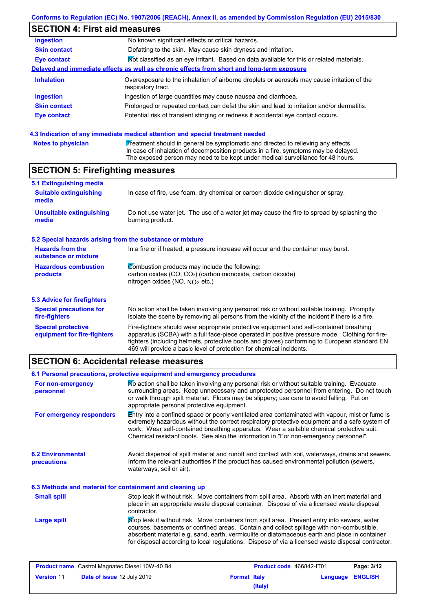# **SECTION 4: First aid measures**

| Ingestion           | No known significant effects or critical hazards.                                                                 |
|---------------------|-------------------------------------------------------------------------------------------------------------------|
| <b>Skin contact</b> | Defatting to the skin. May cause skin dryness and irritation.                                                     |
| Eye contact         | Mot classified as an eye irritant. Based on data available for this or related materials.                         |
|                     | Delayed and immediate effects as well as chronic effects from short and long-term exposure                        |
| <b>Inhalation</b>   | Overexposure to the inhalation of airborne droplets or aerosols may cause irritation of the<br>respiratory tract. |
| <b>Ingestion</b>    | Ingestion of large quantities may cause nausea and diarrhoea.                                                     |
| <b>Skin contact</b> | Prolonged or repeated contact can defat the skin and lead to irritation and/or dermatitis.                        |
| <b>Eye contact</b>  | Potential risk of transient stinging or redness if accidental eye contact occurs.                                 |
|                     |                                                                                                                   |

#### **4.3 Indication of any immediate medical attention and special treatment needed**

| <b>Notes to physician</b> | Treatment should in general be symptomatic and directed to relieving any effects.   |
|---------------------------|-------------------------------------------------------------------------------------|
|                           | In case of inhalation of decomposition products in a fire, symptoms may be delayed. |
|                           | The exposed person may need to be kept under medical surveillance for 48 hours.     |

# **SECTION 5: Firefighting measures**

| 5.1 Extinguishing media                                   |                                                                                                                                                                                                |
|-----------------------------------------------------------|------------------------------------------------------------------------------------------------------------------------------------------------------------------------------------------------|
| <b>Suitable extinguishing</b><br>media                    | In case of fire, use foam, dry chemical or carbon dioxide extinguisher or spray.                                                                                                               |
| <b>Unsuitable extinguishing</b><br>media                  | Do not use water jet. The use of a water jet may cause the fire to spread by splashing the<br>burning product.                                                                                 |
| 5.2 Special hazards arising from the substance or mixture |                                                                                                                                                                                                |
| <b>Hazards from the</b><br>substance or mixture           | In a fire or if heated, a pressure increase will occur and the container may burst.                                                                                                            |
| <b>Hazardous combustion</b><br><b>products</b>            | Combustion products may include the following:<br>carbon oxides (CO, CO <sub>2</sub> ) (carbon monoxide, carbon dioxide)<br>nitrogen oxides (NO, $NQ_2$ etc.)                                  |
| 5.3 Advice for firefighters                               |                                                                                                                                                                                                |
| <b>Special precautions for</b><br>fire-fighters           | No action shall be taken involving any personal risk or without suitable training. Promptly<br>isolate the scene by removing all persons from the vicinity of the incident if there is a fire. |

Fire-fighters should wear appropriate protective equipment and self-contained breathing apparatus (SCBA) with a full face-piece operated in positive pressure mode. Clothing for firefighters (including helmets, protective boots and gloves) conforming to European standard EN 469 will provide a basic level of protection for chemical incidents. **Special protective equipment for fire-fighters**

## **SECTION 6: Accidental release measures**

|                                                          | 6.1 Personal precautions, protective equipment and emergency procedures                                                                                                                                                                                                                                                                                                                        |  |  |
|----------------------------------------------------------|------------------------------------------------------------------------------------------------------------------------------------------------------------------------------------------------------------------------------------------------------------------------------------------------------------------------------------------------------------------------------------------------|--|--|
| For non-emergency<br>personnel                           | No action shall be taken involving any personal risk or without suitable training. Evacuate<br>surrounding areas. Keep unnecessary and unprotected personnel from entering. Do not touch<br>or walk through spilt material. Floors may be slippery; use care to avoid falling. Put on<br>appropriate personal protective equipment.                                                            |  |  |
| For emergency responders                                 | Entry into a confined space or poorly ventilated area contaminated with vapour, mist or fume is<br>extremely hazardous without the correct respiratory protective equipment and a safe system of<br>work. Wear self-contained breathing apparatus. Wear a suitable chemical protective suit.<br>Chemical resistant boots. See also the information in "For non-emergency personnel".           |  |  |
| <b>6.2 Environmental</b><br>precautions                  | Avoid dispersal of spilt material and runoff and contact with soil, waterways, drains and sewers.<br>Inform the relevant authorities if the product has caused environmental pollution (sewers,<br>waterways, soil or air).                                                                                                                                                                    |  |  |
| 6.3 Methods and material for containment and cleaning up |                                                                                                                                                                                                                                                                                                                                                                                                |  |  |
| <b>Small spill</b>                                       | Stop leak if without risk. Move containers from spill area. Absorb with an inert material and<br>place in an appropriate waste disposal container. Dispose of via a licensed waste disposal<br>contractor.                                                                                                                                                                                     |  |  |
| Large spill                                              | Stop leak if without risk. Move containers from spill area. Prevent entry into sewers, water<br>courses, basements or confined areas. Contain and collect spillage with non-combustible,<br>absorbent material e.g. sand, earth, vermiculite or diatomaceous earth and place in container<br>for disposal according to local regulations. Dispose of via a licensed waste disposal contractor. |  |  |

| <b>Product name</b> Castrol Magnatec Diesel 10W-40 B4 |                                   | <b>Product code</b> 466842-IT01 |         | Page: 3/12       |  |
|-------------------------------------------------------|-----------------------------------|---------------------------------|---------|------------------|--|
| <b>Version 11</b>                                     | <b>Date of issue 12 July 2019</b> | <b>Format Italy</b>             |         | Language ENGLISH |  |
|                                                       |                                   |                                 | (Italy) |                  |  |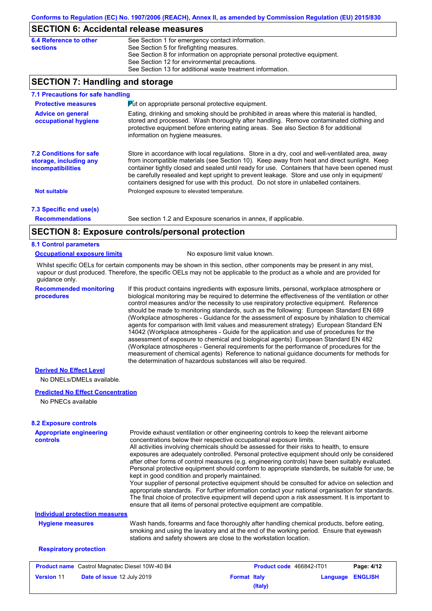## **SECTION 6: Accidental release measures**

| 6.4 Reference to other | See Section 1 for emergency contact information.                            |
|------------------------|-----------------------------------------------------------------------------|
| sections               | See Section 5 for firefighting measures.                                    |
|                        | See Section 8 for information on appropriate personal protective equipment. |
|                        | See Section 12 for environmental precautions.                               |
|                        | See Section 13 for additional waste treatment information.                  |

## **SECTION 7: Handling and storage**

| 7.1 Precautions for safe handling                                                    |                                                                                                                                                                                                                                                                                                                                                                                                                                                                                          |
|--------------------------------------------------------------------------------------|------------------------------------------------------------------------------------------------------------------------------------------------------------------------------------------------------------------------------------------------------------------------------------------------------------------------------------------------------------------------------------------------------------------------------------------------------------------------------------------|
| <b>Protective measures</b>                                                           | <b>Put on appropriate personal protective equipment.</b>                                                                                                                                                                                                                                                                                                                                                                                                                                 |
| <b>Advice on general</b><br>occupational hygiene                                     | Eating, drinking and smoking should be prohibited in areas where this material is handled,<br>stored and processed. Wash thoroughly after handling. Remove contaminated clothing and<br>protective equipment before entering eating areas. See also Section 8 for additional<br>information on hygiene measures.                                                                                                                                                                         |
| <b>7.2 Conditions for safe</b><br>storage, including any<br><i>incompatibilities</i> | Store in accordance with local regulations. Store in a dry, cool and well-ventilated area, away<br>from incompatible materials (see Section 10). Keep away from heat and direct sunlight. Keep<br>container tightly closed and sealed until ready for use. Containers that have been opened must<br>be carefully resealed and kept upright to prevent leakage. Store and use only in equipment/<br>containers designed for use with this product. Do not store in unlabelled containers. |
| <b>Not suitable</b>                                                                  | Prolonged exposure to elevated temperature.                                                                                                                                                                                                                                                                                                                                                                                                                                              |
| 7.3 Specific end use(s)                                                              |                                                                                                                                                                                                                                                                                                                                                                                                                                                                                          |
| <b>Recommendations</b>                                                               | See section 1.2 and Exposure scenarios in annex, if applicable.                                                                                                                                                                                                                                                                                                                                                                                                                          |
|                                                                                      | <b>CECTION 0. Evangura controlainground protection</b>                                                                                                                                                                                                                                                                                                                                                                                                                                   |

## **SECTION 8: Exposure controls/personal protection**

#### **8.1 Control parameters**

#### **Occupational exposure limits** No exposure limit value known.

Whilst specific OELs for certain components may be shown in this section, other components may be present in any mist, vapour or dust produced. Therefore, the specific OELs may not be applicable to the product as a whole and are provided for guidance only.

**Recommended monitoring procedures**

If this product contains ingredients with exposure limits, personal, workplace atmosphere or biological monitoring may be required to determine the effectiveness of the ventilation or other control measures and/or the necessity to use respiratory protective equipment. Reference should be made to monitoring standards, such as the following: European Standard EN 689 (Workplace atmospheres - Guidance for the assessment of exposure by inhalation to chemical agents for comparison with limit values and measurement strategy) European Standard EN 14042 (Workplace atmospheres - Guide for the application and use of procedures for the assessment of exposure to chemical and biological agents) European Standard EN 482 (Workplace atmospheres - General requirements for the performance of procedures for the measurement of chemical agents) Reference to national guidance documents for methods for the determination of hazardous substances will also be required.

**(Italy)**

#### **Derived No Effect Level**

No DNELs/DMELs available.

#### **Predicted No Effect Concentration**

No PNECs available

| <b>Appropriate engineering</b><br><b>controls</b>     | Provide exhaust ventilation or other engineering controls to keep the relevant airborne<br>concentrations below their respective occupational exposure limits.<br>All activities involving chemicals should be assessed for their risks to health, to ensure<br>exposures are adequately controlled. Personal protective equipment should only be considered<br>after other forms of control measures (e.g. engineering controls) have been suitably evaluated.<br>Personal protective equipment should conform to appropriate standards, be suitable for use, be<br>kept in good condition and properly maintained.<br>Your supplier of personal protective equipment should be consulted for advice on selection and<br>appropriate standards. For further information contact your national organisation for standards.<br>The final choice of protective equipment will depend upon a risk assessment. It is important to<br>ensure that all items of personal protective equipment are compatible. |                          |          |                |
|-------------------------------------------------------|---------------------------------------------------------------------------------------------------------------------------------------------------------------------------------------------------------------------------------------------------------------------------------------------------------------------------------------------------------------------------------------------------------------------------------------------------------------------------------------------------------------------------------------------------------------------------------------------------------------------------------------------------------------------------------------------------------------------------------------------------------------------------------------------------------------------------------------------------------------------------------------------------------------------------------------------------------------------------------------------------------|--------------------------|----------|----------------|
| <b>Individual protection measures</b>                 |                                                                                                                                                                                                                                                                                                                                                                                                                                                                                                                                                                                                                                                                                                                                                                                                                                                                                                                                                                                                         |                          |          |                |
| <b>Hygiene measures</b>                               | Wash hands, forearms and face thoroughly after handling chemical products, before eating,<br>smoking and using the lavatory and at the end of the working period. Ensure that eyewash<br>stations and safety showers are close to the workstation location.                                                                                                                                                                                                                                                                                                                                                                                                                                                                                                                                                                                                                                                                                                                                             |                          |          |                |
| <b>Respiratory protection</b>                         |                                                                                                                                                                                                                                                                                                                                                                                                                                                                                                                                                                                                                                                                                                                                                                                                                                                                                                                                                                                                         |                          |          |                |
| <b>Product name</b> Castrol Magnatec Diesel 10W-40 B4 |                                                                                                                                                                                                                                                                                                                                                                                                                                                                                                                                                                                                                                                                                                                                                                                                                                                                                                                                                                                                         | Product code 466842-IT01 |          | Page: 4/12     |
| Date of issue 12 July 2019<br><b>Version 11</b>       |                                                                                                                                                                                                                                                                                                                                                                                                                                                                                                                                                                                                                                                                                                                                                                                                                                                                                                                                                                                                         | <b>Format Italy</b>      | Language | <b>ENGLISH</b> |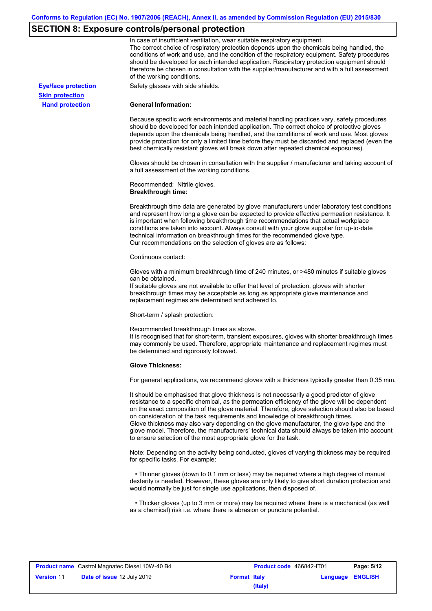# **SECTION 8: Exposure controls/personal protection**

|                            | In case of insufficient ventilation, wear suitable respiratory equipment.<br>The correct choice of respiratory protection depends upon the chemicals being handled, the<br>conditions of work and use, and the condition of the respiratory equipment. Safety procedures<br>should be developed for each intended application. Respiratory protection equipment should<br>therefore be chosen in consultation with the supplier/manufacturer and with a full assessment<br>of the working conditions.                                                                                                                                             |
|----------------------------|---------------------------------------------------------------------------------------------------------------------------------------------------------------------------------------------------------------------------------------------------------------------------------------------------------------------------------------------------------------------------------------------------------------------------------------------------------------------------------------------------------------------------------------------------------------------------------------------------------------------------------------------------|
| <b>Eye/face protection</b> | Safety glasses with side shields.                                                                                                                                                                                                                                                                                                                                                                                                                                                                                                                                                                                                                 |
| <b>Skin protection</b>     |                                                                                                                                                                                                                                                                                                                                                                                                                                                                                                                                                                                                                                                   |
| <b>Hand protection</b>     | <b>General Information:</b>                                                                                                                                                                                                                                                                                                                                                                                                                                                                                                                                                                                                                       |
|                            | Because specific work environments and material handling practices vary, safety procedures<br>should be developed for each intended application. The correct choice of protective gloves<br>depends upon the chemicals being handled, and the conditions of work and use. Most gloves<br>provide protection for only a limited time before they must be discarded and replaced (even the<br>best chemically resistant gloves will break down after repeated chemical exposures).                                                                                                                                                                  |
|                            | Gloves should be chosen in consultation with the supplier / manufacturer and taking account of<br>a full assessment of the working conditions.                                                                                                                                                                                                                                                                                                                                                                                                                                                                                                    |
|                            | Recommended: Nitrile gloves.<br><b>Breakthrough time:</b>                                                                                                                                                                                                                                                                                                                                                                                                                                                                                                                                                                                         |
|                            | Breakthrough time data are generated by glove manufacturers under laboratory test conditions<br>and represent how long a glove can be expected to provide effective permeation resistance. It<br>is important when following breakthrough time recommendations that actual workplace<br>conditions are taken into account. Always consult with your glove supplier for up-to-date<br>technical information on breakthrough times for the recommended glove type.<br>Our recommendations on the selection of gloves are as follows:                                                                                                                |
|                            | Continuous contact:                                                                                                                                                                                                                                                                                                                                                                                                                                                                                                                                                                                                                               |
|                            | Gloves with a minimum breakthrough time of 240 minutes, or >480 minutes if suitable gloves<br>can be obtained.<br>If suitable gloves are not available to offer that level of protection, gloves with shorter<br>breakthrough times may be acceptable as long as appropriate glove maintenance and<br>replacement regimes are determined and adhered to.                                                                                                                                                                                                                                                                                          |
|                            | Short-term / splash protection:                                                                                                                                                                                                                                                                                                                                                                                                                                                                                                                                                                                                                   |
|                            | Recommended breakthrough times as above.<br>It is recognised that for short-term, transient exposures, gloves with shorter breakthrough times<br>may commonly be used. Therefore, appropriate maintenance and replacement regimes must<br>be determined and rigorously followed.                                                                                                                                                                                                                                                                                                                                                                  |
|                            | <b>Glove Thickness:</b>                                                                                                                                                                                                                                                                                                                                                                                                                                                                                                                                                                                                                           |
|                            | For general applications, we recommend gloves with a thickness typically greater than 0.35 mm.                                                                                                                                                                                                                                                                                                                                                                                                                                                                                                                                                    |
|                            | It should be emphasised that glove thickness is not necessarily a good predictor of glove<br>resistance to a specific chemical, as the permeation efficiency of the glove will be dependent<br>on the exact composition of the glove material. Therefore, glove selection should also be based<br>on consideration of the task requirements and knowledge of breakthrough times.<br>Glove thickness may also vary depending on the glove manufacturer, the glove type and the<br>glove model. Therefore, the manufacturers' technical data should always be taken into account<br>to ensure selection of the most appropriate glove for the task. |
|                            | Note: Depending on the activity being conducted, gloves of varying thickness may be required<br>for specific tasks. For example:                                                                                                                                                                                                                                                                                                                                                                                                                                                                                                                  |
|                            | • Thinner gloves (down to 0.1 mm or less) may be required where a high degree of manual<br>dexterity is needed. However, these gloves are only likely to give short duration protection and<br>would normally be just for single use applications, then disposed of.                                                                                                                                                                                                                                                                                                                                                                              |
|                            | • Thicker gloves (up to 3 mm or more) may be required where there is a mechanical (as well<br>as a chemical) risk i.e. where there is abrasion or puncture potential.                                                                                                                                                                                                                                                                                                                                                                                                                                                                             |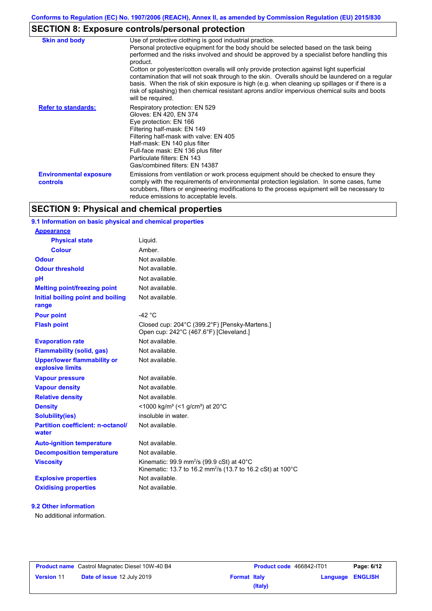# **SECTION 8: Exposure controls/personal protection**

| <b>Skin and body</b>                      | Use of protective clothing is good industrial practice.<br>Personal protective equipment for the body should be selected based on the task being<br>performed and the risks involved and should be approved by a specialist before handling this<br>product.<br>Cotton or polyester/cotton overalls will only provide protection against light superficial<br>contamination that will not soak through to the skin. Overalls should be laundered on a regular<br>basis. When the risk of skin exposure is high (e.g. when cleaning up spillages or if there is a<br>risk of splashing) then chemical resistant aprons and/or impervious chemical suits and boots<br>will be required. |
|-------------------------------------------|---------------------------------------------------------------------------------------------------------------------------------------------------------------------------------------------------------------------------------------------------------------------------------------------------------------------------------------------------------------------------------------------------------------------------------------------------------------------------------------------------------------------------------------------------------------------------------------------------------------------------------------------------------------------------------------|
| <b>Refer to standards:</b>                | Respiratory protection: EN 529<br>Gloves: EN 420, EN 374<br>Eye protection: EN 166<br>Filtering half-mask: EN 149<br>Filtering half-mask with valve: EN 405<br>Half-mask: EN 140 plus filter<br>Full-face mask: EN 136 plus filter<br>Particulate filters: EN 143<br>Gas/combined filters: EN 14387                                                                                                                                                                                                                                                                                                                                                                                   |
| <b>Environmental exposure</b><br>controls | Emissions from ventilation or work process equipment should be checked to ensure they<br>comply with the requirements of environmental protection legislation. In some cases, fume<br>scrubbers, filters or engineering modifications to the process equipment will be necessary to<br>reduce emissions to acceptable levels.                                                                                                                                                                                                                                                                                                                                                         |

# **SECTION 9: Physical and chemical properties**

## **9.1 Information on basic physical and chemical properties**

| <b>Appearance</b>                                      |                                                                                                                                 |
|--------------------------------------------------------|---------------------------------------------------------------------------------------------------------------------------------|
| <b>Physical state</b>                                  | Liquid.                                                                                                                         |
| <b>Colour</b>                                          | Amber.                                                                                                                          |
| Odour                                                  | Not available.                                                                                                                  |
| <b>Odour threshold</b>                                 | Not available.                                                                                                                  |
| рH                                                     | Not available.                                                                                                                  |
| <b>Melting point/freezing point</b>                    | Not available.                                                                                                                  |
| Initial boiling point and boiling<br>range             | Not available.                                                                                                                  |
| <b>Pour point</b>                                      | $-42$ °C                                                                                                                        |
| <b>Flash point</b>                                     | Closed cup: 204°C (399.2°F) [Pensky-Martens.]<br>Open cup: 242°C (467.6°F) [Cleveland.]                                         |
| <b>Evaporation rate</b>                                | Not available.                                                                                                                  |
| <b>Flammability (solid, gas)</b>                       | Not available.                                                                                                                  |
| <b>Upper/lower flammability or</b><br>explosive limits | Not available.                                                                                                                  |
| <b>Vapour pressure</b>                                 | Not available.                                                                                                                  |
| <b>Vapour density</b>                                  | Not available.                                                                                                                  |
| <b>Relative density</b>                                | Not available.                                                                                                                  |
| <b>Density</b>                                         | <1000 kg/m <sup>3</sup> (<1 g/cm <sup>3</sup> ) at 20 <sup>°</sup> C                                                            |
| <b>Solubility(ies)</b>                                 | insoluble in water.                                                                                                             |
| <b>Partition coefficient: n-octanol/</b><br>water      | Not available.                                                                                                                  |
| <b>Auto-ignition temperature</b>                       | Not available.                                                                                                                  |
| <b>Decomposition temperature</b>                       | Not available.                                                                                                                  |
| <b>Viscosity</b>                                       | Kinematic: 99.9 mm <sup>2</sup> /s (99.9 cSt) at 40°C<br>Kinematic: 13.7 to 16.2 mm <sup>2</sup> /s (13.7 to 16.2 cSt) at 100°C |
| <b>Explosive properties</b>                            | Not available.                                                                                                                  |
| <b>Oxidising properties</b>                            | Not available.                                                                                                                  |

## **9.2 Other information**

No additional information.

|                   | <b>Product name</b> Castrol Magnatec Diesel 10W-40 B4 |
|-------------------|-------------------------------------------------------|
| <b>Version 11</b> | Date of issue 12 July 2019                            |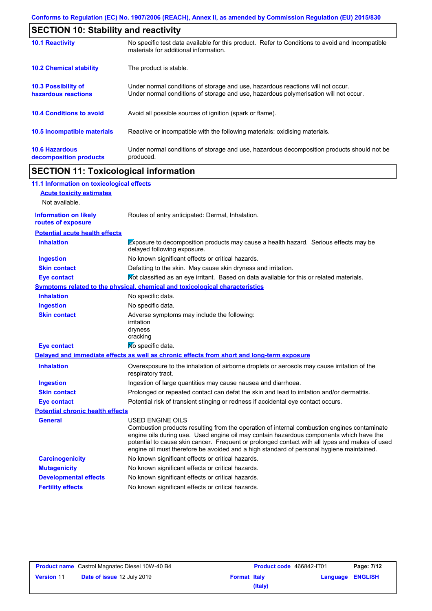| <b>SECTION 10: Stability and reactivity</b>     |                                                                                                                                                                         |  |
|-------------------------------------------------|-------------------------------------------------------------------------------------------------------------------------------------------------------------------------|--|
| <b>10.1 Reactivity</b>                          | No specific test data available for this product. Refer to Conditions to avoid and Incompatible<br>materials for additional information.                                |  |
| <b>10.2 Chemical stability</b>                  | The product is stable.                                                                                                                                                  |  |
| 10.3 Possibility of<br>hazardous reactions      | Under normal conditions of storage and use, hazardous reactions will not occur.<br>Under normal conditions of storage and use, hazardous polymerisation will not occur. |  |
| <b>10.4 Conditions to avoid</b>                 | Avoid all possible sources of ignition (spark or flame).                                                                                                                |  |
| 10.5 Incompatible materials                     | Reactive or incompatible with the following materials: oxidising materials.                                                                                             |  |
| <b>10.6 Hazardous</b><br>decomposition products | Under normal conditions of storage and use, hazardous decomposition products should not be<br>produced.                                                                 |  |

# **SECTION 11: Toxicological information**

| 11.1 Information on toxicological effects          |                                                                                                                                                                                                                                                                                                                                                                                                                 |
|----------------------------------------------------|-----------------------------------------------------------------------------------------------------------------------------------------------------------------------------------------------------------------------------------------------------------------------------------------------------------------------------------------------------------------------------------------------------------------|
| <b>Acute toxicity estimates</b>                    |                                                                                                                                                                                                                                                                                                                                                                                                                 |
| Not available.                                     |                                                                                                                                                                                                                                                                                                                                                                                                                 |
| <b>Information on likely</b><br>routes of exposure | Routes of entry anticipated: Dermal, Inhalation.                                                                                                                                                                                                                                                                                                                                                                |
| <b>Potential acute health effects</b>              |                                                                                                                                                                                                                                                                                                                                                                                                                 |
| <b>Inhalation</b>                                  | Exposure to decomposition products may cause a health hazard. Serious effects may be<br>delayed following exposure.                                                                                                                                                                                                                                                                                             |
| <b>Ingestion</b>                                   | No known significant effects or critical hazards.                                                                                                                                                                                                                                                                                                                                                               |
| <b>Skin contact</b>                                | Defatting to the skin. May cause skin dryness and irritation.                                                                                                                                                                                                                                                                                                                                                   |
| <b>Eye contact</b>                                 | Not classified as an eye irritant. Based on data available for this or related materials.                                                                                                                                                                                                                                                                                                                       |
|                                                    | <b>Symptoms related to the physical, chemical and toxicological characteristics</b>                                                                                                                                                                                                                                                                                                                             |
| <b>Inhalation</b>                                  | No specific data.                                                                                                                                                                                                                                                                                                                                                                                               |
| <b>Ingestion</b>                                   | No specific data.                                                                                                                                                                                                                                                                                                                                                                                               |
| <b>Skin contact</b>                                | Adverse symptoms may include the following:<br>irritation<br>dryness<br>cracking                                                                                                                                                                                                                                                                                                                                |
| <b>Eye contact</b>                                 | No specific data.                                                                                                                                                                                                                                                                                                                                                                                               |
|                                                    | Delayed and immediate effects as well as chronic effects from short and long-term exposure                                                                                                                                                                                                                                                                                                                      |
| <b>Inhalation</b>                                  | Overexposure to the inhalation of airborne droplets or aerosols may cause irritation of the<br>respiratory tract.                                                                                                                                                                                                                                                                                               |
| <b>Ingestion</b>                                   | Ingestion of large quantities may cause nausea and diarrhoea.                                                                                                                                                                                                                                                                                                                                                   |
| <b>Skin contact</b>                                | Prolonged or repeated contact can defat the skin and lead to irritation and/or dermatitis.                                                                                                                                                                                                                                                                                                                      |
| <b>Eye contact</b>                                 | Potential risk of transient stinging or redness if accidental eye contact occurs.                                                                                                                                                                                                                                                                                                                               |
| <b>Potential chronic health effects</b>            |                                                                                                                                                                                                                                                                                                                                                                                                                 |
| <b>General</b>                                     | <b>USED ENGINE OILS</b><br>Combustion products resulting from the operation of internal combustion engines contaminate<br>engine oils during use. Used engine oil may contain hazardous components which have the<br>potential to cause skin cancer. Frequent or prolonged contact with all types and makes of used<br>engine oil must therefore be avoided and a high standard of personal hygiene maintained. |
| <b>Carcinogenicity</b>                             | No known significant effects or critical hazards.                                                                                                                                                                                                                                                                                                                                                               |
| <b>Mutagenicity</b>                                | No known significant effects or critical hazards.                                                                                                                                                                                                                                                                                                                                                               |
| <b>Developmental effects</b>                       | No known significant effects or critical hazards.                                                                                                                                                                                                                                                                                                                                                               |
| <b>Fertility effects</b>                           | No known significant effects or critical hazards.                                                                                                                                                                                                                                                                                                                                                               |

| <b>Product name</b> Castrol Magnatec Diesel 10W-40 B4 |                                   | <b>Product code</b> 466842-IT01 |         | Page: 7/12              |  |
|-------------------------------------------------------|-----------------------------------|---------------------------------|---------|-------------------------|--|
| <b>Version 11</b>                                     | <b>Date of issue 12 July 2019</b> | <b>Format Italy</b>             |         | <b>Language ENGLISH</b> |  |
|                                                       |                                   |                                 | (Italy) |                         |  |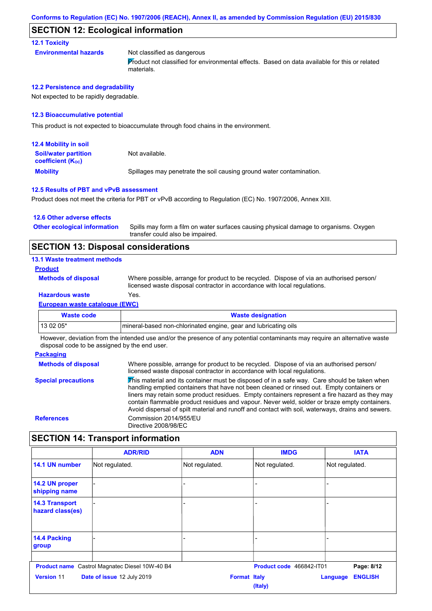### **SECTION 12: Ecological information**

#### **12.1 Toxicity**

**Environmental hazards** Not classified as dangerous Product not classified for environmental effects. Based on data available for this or related materials.

#### **12.2 Persistence and degradability**

Not expected to be rapidly degradable.

#### **12.3 Bioaccumulative potential**

This product is not expected to bioaccumulate through food chains in the environment.

| <b>12.4 Mobility in soil</b>                            |                                                                      |
|---------------------------------------------------------|----------------------------------------------------------------------|
| <b>Soil/water partition</b><br><b>coefficient (Koc)</b> | Not available.                                                       |
| <b>Mobility</b>                                         | Spillages may penetrate the soil causing ground water contamination. |

#### **12.5 Results of PBT and vPvB assessment**

Product does not meet the criteria for PBT or vPvB according to Regulation (EC) No. 1907/2006, Annex XIII.

#### **12.6 Other adverse effects**

Spills may form a film on water surfaces causing physical damage to organisms. Oxygen transfer could also be impaired. **Other ecological information**

### **SECTION 13: Disposal considerations**

#### **13.1 Waste treatment methods**

#### **Product**

**Methods of disposal**

Where possible, arrange for product to be recycled. Dispose of via an authorised person/ licensed waste disposal contractor in accordance with local regulations.

## **Hazardous waste** Yes.

**European waste catalogue (EWC)**

| Waste code | <b>Waste designation</b>                                         |
|------------|------------------------------------------------------------------|
| $130205*$  | Imineral-based non-chlorinated engine, gear and lubricating oils |
|            |                                                                  |

However, deviation from the intended use and/or the presence of any potential contaminants may require an alternative waste disposal code to be assigned by the end user.

#### **Packaging Methods of disposal Special precautions** Where possible, arrange for product to be recycled. Dispose of via an authorised person/ licensed waste disposal contractor in accordance with local regulations. This material and its container must be disposed of in a safe way. Care should be taken when handling emptied containers that have not been cleaned or rinsed out. Empty containers or liners may retain some product residues. Empty containers represent a fire hazard as they may contain flammable product residues and vapour. Never weld, solder or braze empty containers. Avoid dispersal of spilt material and runoff and contact with soil, waterways, drains and sewers. **References** Commission 2014/955/EU Directive 2008/98/EC

## **SECTION 14: Transport information**

|                                           | <b>ADR/RID</b>                                        | <b>ADN</b>     | <b>IMDG</b>                    | <b>IATA</b>                       |
|-------------------------------------------|-------------------------------------------------------|----------------|--------------------------------|-----------------------------------|
| 14.1 UN number                            | Not regulated.                                        | Not regulated. | Not regulated.                 | Not regulated.                    |
| 14.2 UN proper<br>shipping name           |                                                       |                |                                |                                   |
| <b>14.3 Transport</b><br>hazard class(es) |                                                       |                |                                |                                   |
| 14.4 Packing<br>group                     |                                                       |                |                                |                                   |
|                                           | <b>Product name</b> Castrol Magnatec Diesel 10W-40 B4 |                | Product code 466842-IT01       | Page: 8/12                        |
| <b>Version 11</b>                         | Date of issue 12 July 2019                            |                | <b>Format Italy</b><br>(Italy) | <b>ENGLISH</b><br><b>Language</b> |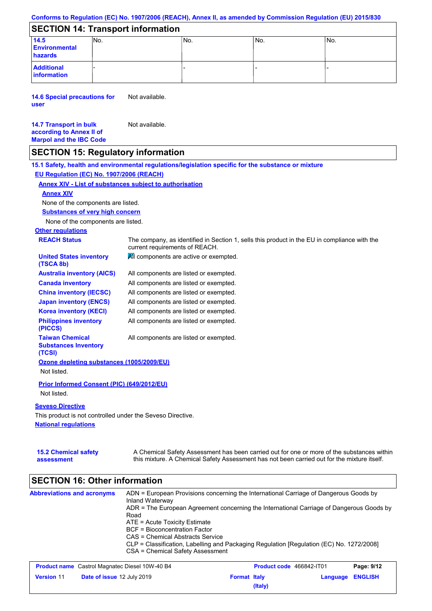#### **Conforms to Regulation (EC) No. 1907/2006 (REACH), Annex II, as amended by Commission Regulation (EU) 2015/830**

## **SECTION 14: Transport information**

| 14.5<br><b>Environmental</b><br>hazards | No. | No. | No. | 'No. |
|-----------------------------------------|-----|-----|-----|------|
| <b>Additional</b><br>information        |     |     |     |      |

**14.6 Special precautions for user** Not available.

#### **14.7 Transport in bulk according to Annex II of Marpol and the IBC Code** Not available.

**assessment**

## **SECTION 15: Regulatory information**

**National regulations Other regulations REACH Status** The company, as identified in Section 1, sells this product in the EU in compliance with the current requirements of REACH. **15.1 Safety, health and environmental regulations/legislation specific for the substance or mixture EU Regulation (EC) No. 1907/2006 (REACH) Annex XIV - List of substances subject to authorisation 15.2 Chemical safety Substances of very high concern** None of the components are listed. All components are listed or exempted. All components are listed or exempted. All components are listed or exempted. All components are listed or exempted. All components are active or exempted. All components are listed or exempted. All components are listed or exempted. **United States inventory (TSCA 8b) Australia inventory (AICS) Canada inventory China inventory (IECSC) Japan inventory (ENCS) Korea inventory (KECI) Philippines inventory (PICCS) Taiwan Chemical Substances Inventory (TCSI)** All components are listed or exempted. **Ozone depleting substances (1005/2009/EU)** Not listed. **Prior Informed Consent (PIC) (649/2012/EU)** Not listed. **Seveso Directive** This product is not controlled under the Seveso Directive. A Chemical Safety Assessment has been carried out for one or more of the substances within this mixture. A Chemical Safety Assessment has not been carried out for the mixture itself. None of the components are listed. **Annex XIV**

| <b>Abbreviations and acronyms</b>                     | ADN = European Provisions concerning the International Carriage of Dangerous Goods by<br>Inland Waterway<br>ADR = The European Agreement concerning the International Carriage of Dangerous Goods by<br>Road |                                                                                          |                          |          |                                                                         |  |  |  |
|-------------------------------------------------------|--------------------------------------------------------------------------------------------------------------------------------------------------------------------------------------------------------------|------------------------------------------------------------------------------------------|--------------------------|----------|-------------------------------------------------------------------------|--|--|--|
|                                                       |                                                                                                                                                                                                              |                                                                                          |                          |          | $ATE = Acute Toxicity Estimate$<br><b>BCF</b> = Bioconcentration Factor |  |  |  |
|                                                       |                                                                                                                                                                                                              |                                                                                          |                          |          | CAS = Chemical Abstracts Service                                        |  |  |  |
|                                                       |                                                                                                                                                                                                              | CLP = Classification, Labelling and Packaging Regulation [Regulation (EC) No. 1272/2008] |                          |          |                                                                         |  |  |  |
|                                                       |                                                                                                                                                                                                              | CSA = Chemical Safety Assessment                                                         |                          |          |                                                                         |  |  |  |
| <b>Product name</b> Castrol Magnatec Diesel 10W-40 B4 |                                                                                                                                                                                                              |                                                                                          | Product code 466842-IT01 |          | Page: 9/12                                                              |  |  |  |
| <b>Version 11</b><br>Date of issue 12 July 2019       |                                                                                                                                                                                                              | <b>Format Italy</b>                                                                      |                          | Language | <b>ENGLISH</b>                                                          |  |  |  |

**(Italy)**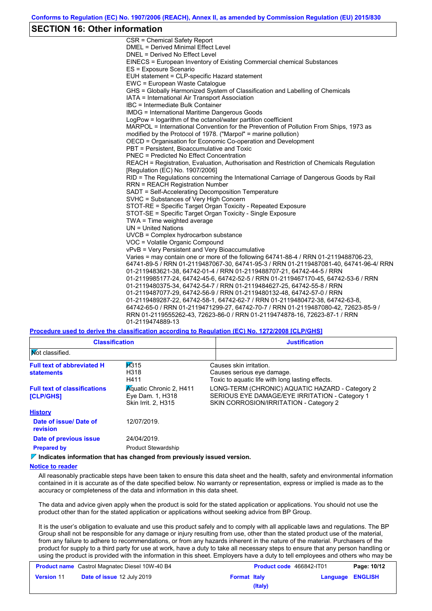### **SECTION 16: Other information**

CSR = Chemical Safety Report DMEL = Derived Minimal Effect Level DNEL = Derived No Effect Level EINECS = European Inventory of Existing Commercial chemical Substances ES = Exposure Scenario EUH statement = CLP-specific Hazard statement EWC = European Waste Catalogue GHS = Globally Harmonized System of Classification and Labelling of Chemicals IATA = International Air Transport Association IBC = Intermediate Bulk Container IMDG = International Maritime Dangerous Goods LogPow = logarithm of the octanol/water partition coefficient MARPOL = International Convention for the Prevention of Pollution From Ships, 1973 as modified by the Protocol of 1978. ("Marpol" = marine pollution) OECD = Organisation for Economic Co-operation and Development PBT = Persistent, Bioaccumulative and Toxic PNEC = Predicted No Effect Concentration REACH = Registration, Evaluation, Authorisation and Restriction of Chemicals Regulation [Regulation (EC) No. 1907/2006] RID = The Regulations concerning the International Carriage of Dangerous Goods by Rail RRN = REACH Registration Number SADT = Self-Accelerating Decomposition Temperature SVHC = Substances of Very High Concern STOT-RE = Specific Target Organ Toxicity - Repeated Exposure STOT-SE = Specific Target Organ Toxicity - Single Exposure TWA = Time weighted average UN = United Nations UVCB = Complex hydrocarbon substance VOC = Volatile Organic Compound vPvB = Very Persistent and Very Bioaccumulative Varies = may contain one or more of the following 64741-88-4 / RRN 01-2119488706-23, 64741-89-5 / RRN 01-2119487067-30, 64741-95-3 / RRN 01-2119487081-40, 64741-96-4/ RRN 01-2119483621-38, 64742-01-4 / RRN 01-2119488707-21, 64742-44-5 / RRN 01-2119985177-24, 64742-45-6, 64742-52-5 / RRN 01-2119467170-45, 64742-53-6 / RRN 01-2119480375-34, 64742-54-7 / RRN 01-2119484627-25, 64742-55-8 / RRN 01-2119487077-29, 64742-56-9 / RRN 01-2119480132-48, 64742-57-0 / RRN 01-2119489287-22, 64742-58-1, 64742-62-7 / RRN 01-2119480472-38, 64742-63-8, 64742-65-0 / RRN 01-2119471299-27, 64742-70-7 / RRN 01-2119487080-42, 72623-85-9 / RRN 01-2119555262-43, 72623-86-0 / RRN 01-2119474878-16, 72623-87-1 / RRN 01-2119474889-13

**Procedure used to derive the classification according to Regulation (EC) No. 1272/2008 [CLP/GHS]**

| <b>Classification</b>                                   |                                                                                        | <b>Justification</b>                                                                                                                        |
|---------------------------------------------------------|----------------------------------------------------------------------------------------|---------------------------------------------------------------------------------------------------------------------------------------------|
| <b>Not classified.</b>                                  |                                                                                        |                                                                                                                                             |
| <b>Full text of abbreviated H</b><br><b>statements</b>  | H315<br>H318<br>H411                                                                   | Causes skin irritation.<br>Causes serious eye damage.<br>Toxic to aguatic life with long lasting effects.                                   |
| <b>Full text of classifications</b><br><b>[CLP/GHS]</b> | <b>Aguatic Chronic 2, H411</b><br>Eye Dam. 1, H318<br>Skin Irrit. 2, H315              | LONG-TERM (CHRONIC) AQUATIC HAZARD - Category 2<br>SERIOUS EYE DAMAGE/EYE IRRITATION - Category 1<br>SKIN CORROSION/IRRITATION - Category 2 |
| <b>History</b>                                          |                                                                                        |                                                                                                                                             |
| Date of issue/Date of<br>revision                       | 12/07/2019.                                                                            |                                                                                                                                             |
| Date of previous issue                                  | 24/04/2019.                                                                            |                                                                                                                                             |
| <b>Prepared by</b>                                      | <b>Product Stewardship</b>                                                             |                                                                                                                                             |
|                                                         | $\triangledown$ Indicates information that has changed from previously issued version. |                                                                                                                                             |

#### **Notice to reader**

All reasonably practicable steps have been taken to ensure this data sheet and the health, safety and environmental information contained in it is accurate as of the date specified below. No warranty or representation, express or implied is made as to the accuracy or completeness of the data and information in this data sheet.

The data and advice given apply when the product is sold for the stated application or applications. You should not use the product other than for the stated application or applications without seeking advice from BP Group.

It is the user's obligation to evaluate and use this product safely and to comply with all applicable laws and regulations. The BP Group shall not be responsible for any damage or injury resulting from use, other than the stated product use of the material, from any failure to adhere to recommendations, or from any hazards inherent in the nature of the material. Purchasers of the product for supply to a third party for use at work, have a duty to take all necessary steps to ensure that any person handling or using the product is provided with the information in this sheet. Employers have a duty to tell employees and others who may be

| <b>Product name</b> Castrol Magnatec Diesel 10W-40 B4 |                            | <b>Product code</b> 466842-IT01 |         | Page: 10/12             |  |
|-------------------------------------------------------|----------------------------|---------------------------------|---------|-------------------------|--|
| <b>Version 11</b>                                     | Date of issue 12 July 2019 | <b>Format Italy</b>             |         | <b>Language ENGLISH</b> |  |
|                                                       |                            |                                 | (Italy) |                         |  |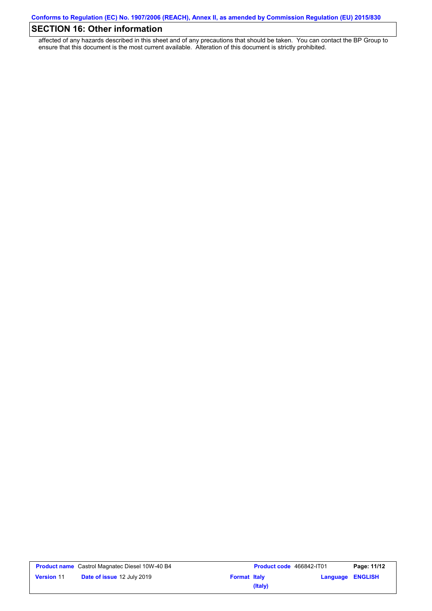# **SECTION 16: Other information**

affected of any hazards described in this sheet and of any precautions that should be taken. You can contact the BP Group to ensure that this document is the most current available. Alteration of this document is strictly prohibited.

| <b>Product name</b> Castrol Magnatec Diesel 10W-40 B4 |                                   | <b>Product code</b> 466842-IT01 |         | Page: 11/12             |  |
|-------------------------------------------------------|-----------------------------------|---------------------------------|---------|-------------------------|--|
| <b>Version 11</b>                                     | <b>Date of issue 12 July 2019</b> | <b>Format Italy</b>             |         | <b>Language ENGLISH</b> |  |
|                                                       |                                   |                                 | (Italy) |                         |  |